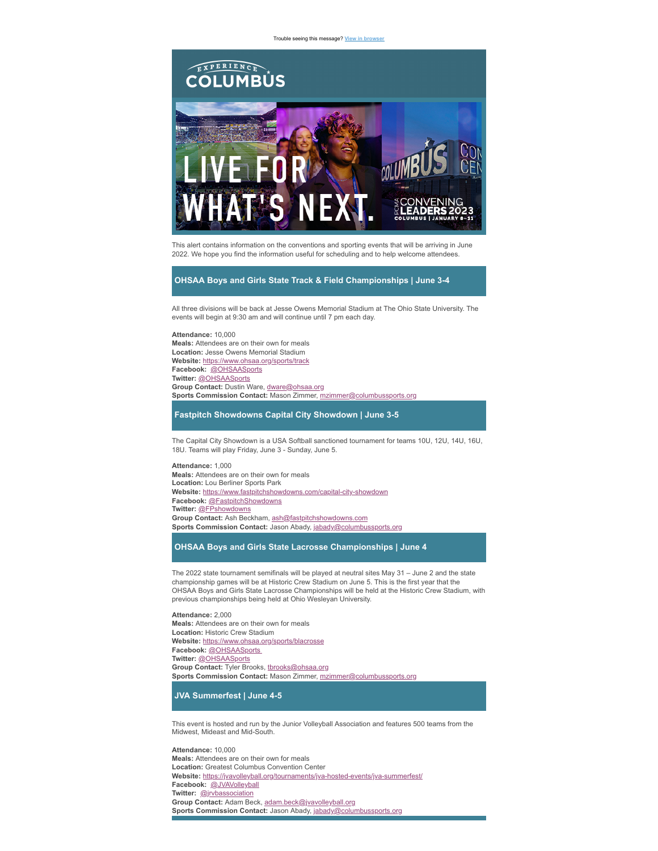Trouble seeing this message? **[View in browser](https://marketing.experiencecolumbus.com/acton/ct/38268/s-04a2-2205/Bct/q-0025/l-0015:23d6/ct0_0/1/ms?sid=TV2%3A4ipcMPkkI)**



This alert contains information on the conventions and sporting events that will be arriving in June 2022. We hope you find the information useful for scheduling and to help welcome attendees.

## **OHSAA Boys and Girls State Track & Field Championships | June 3-4**

All three divisions will be back at Jesse Owens Memorial Stadium at The Ohio State University. The events will begin at 9:30 am and will continue until 7 pm each day.

**Attendance:** 10,000 **Meals:** Attendees are on their own for meals **Location:** Jesse Owens Memorial Stadium **Website:** [https://www.ohsaa.org/sports/track](https://marketing.experiencecolumbus.com/acton/ct/38268/s-04a2-2205/Bct/q-0025/l-0015:23d6/ct1_0/1/lu?sid=TV2%3A4ipcMPkkI) **Facebook:** [@OHSAASports](https://marketing.experiencecolumbus.com/acton/ct/38268/s-04a2-2205/Bct/q-0025/l-0015:23d6/ct2_0/1/lu?sid=TV2%3A4ipcMPkkI) **Twitter:** [@OHSAASports](https://marketing.experiencecolumbus.com/acton/ct/38268/s-04a2-2205/Bct/q-0025/l-0015:23d6/ct3_0/1/lu?sid=TV2%3A4ipcMPkkI) **Group Contact:** Dustin Ware, [dware@ohsaa.org](mailto:dware@ohsaa.org) **Sports Commission Contact:** Mason Zimmer, [mzimmer@columbussports.org](mailto:mzimmer@columbussports.org)

**Fastpitch Showdowns Capital City Showdown | June 3-5**

The Capital City Showdown is a USA Softball sanctioned tournament for teams 10U, 12U, 14U, 16U, 18U. Teams will play Friday, June 3 - Sunday, June 5.

**Attendance:** 1,000 **Meals:** Attendees are on their own for meals **Location:** Lou Berliner Sports Park **Website:** [https://www.fastpitchshowdowns.com/capital-city-showdown](https://marketing.experiencecolumbus.com/acton/ct/38268/s-04a2-2205/Bct/q-0025/l-0015:23d6/ct4_0/1/lu?sid=TV2%3A4ipcMPkkI) **Facebook:** [@FastpitchShowdowns](https://marketing.experiencecolumbus.com/acton/ct/38268/s-04a2-2205/Bct/q-0025/l-0015:23d6/ct5_0/1/lu?sid=TV2%3A4ipcMPkkI) **Twitter:** [@FPshowdowns](https://marketing.experiencecolumbus.com/acton/ct/38268/s-04a2-2205/Bct/q-0025/l-0015:23d6/ct6_0/1/lu?sid=TV2%3A4ipcMPkkI) **Group Contact:** Ash Beckham, [ash@fastpitchshowdowns.com](mailto:ash@fastpitchshowdowns.com) **Sports Commission Contact:** Jason Abady, [jabady@columbussports.org](mailto:jabady@columbussports.org)

## **OHSAA Boys and Girls State Lacrosse Championships | June 4**

The 2022 state tournament semifinals will be played at neutral sites May 31 – June 2 and the state championship games will be at Historic Crew Stadium on June 5. This is the first year that the OHSAA Boys and Girls State Lacrosse Championships will be held at the Historic Crew Stadium, with previous championships being held at Ohio Wesleyan University.

**Attendance:** 2,000 **Meals:** Attendees are on their own for meals **Location:** Historic Crew Stadium **Website:** [https://www.ohsaa.org/sports/blacrosse](https://marketing.experiencecolumbus.com/acton/ct/38268/s-04a2-2205/Bct/q-0025/l-0015:23d6/ct7_0/1/lu?sid=TV2%3A4ipcMPkkI) **Facebook:** [@OHSAASports](https://marketing.experiencecolumbus.com/acton/ct/38268/s-04a2-2205/Bct/q-0025/l-0015:23d6/ct2_1/1/lu?sid=TV2%3A4ipcMPkkI) **Twitter:** [@OHSAASports](https://marketing.experiencecolumbus.com/acton/ct/38268/s-04a2-2205/Bct/q-0025/l-0015:23d6/ct3_1/1/lu?sid=TV2%3A4ipcMPkkI) Group Contact: Tyler Brooks, [tbrooks@ohsaa.org](mailto:tbrooks@ohsaa.org) **Sports Commission Contact:** Mason Zimmer, [mzimmer@columbussports.org](mailto:mzimmer@columbussports.org)

**JVA Summerfest | June 4-5**

This event is hosted and run by the Junior Volleyball Association and features 500 teams from the Midwest, Mideast and Mid-South.

**Attendance:** 10,000 **Meals:** Attendees are on their own for meals **Location:** Greatest Columbus Convention Center **Website:** [https://jvavolleyball.org/tournaments/jva-hosted-events/jva-summerfest/](https://marketing.experiencecolumbus.com/acton/ct/38268/s-04a2-2205/Bct/q-0025/l-0015:23d6/ct8_0/1/lu?sid=TV2%3A4ipcMPkkI) **Facebook:** [@JVAVolleyball](https://marketing.experiencecolumbus.com/acton/ct/38268/s-04a2-2205/Bct/q-0025/l-0015:23d6/ct9_0/1/lu?sid=TV2%3A4ipcMPkkI) **Twitter:** [@jrvbassociation](https://marketing.experiencecolumbus.com/acton/ct/38268/s-04a2-2205/Bct/q-0025/l-0015:23d6/ct10_0/1/lu?sid=TV2%3A4ipcMPkkI) **Group Contact:** Adam Beck, [adam.beck@jvavolleyball.org](mailto:adam.beck@jvavolleyball.org) **Sports Commission Contact:** Jason Abady, [jabady@columbussports.org](mailto:jabady@columbussports.org)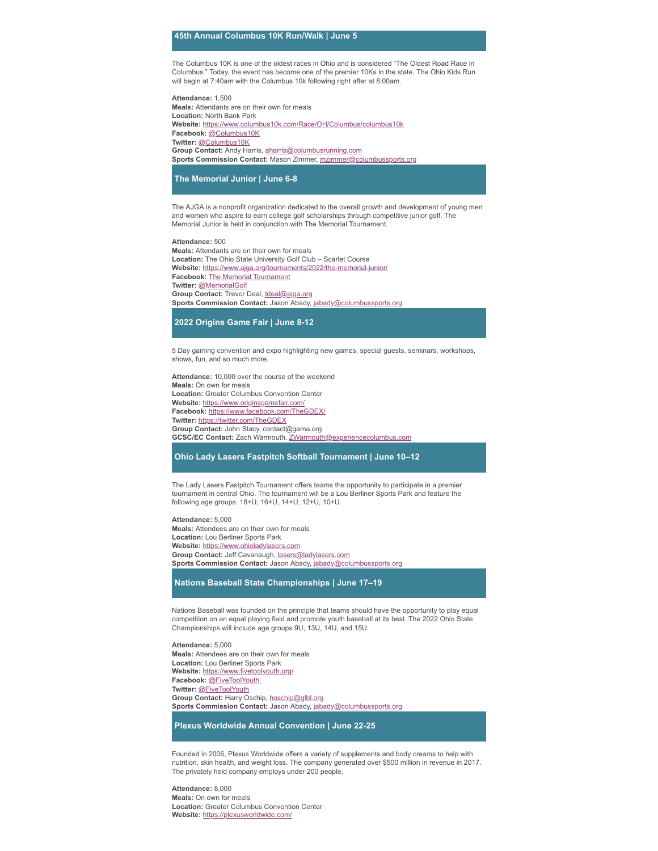### **45th Annual Columbus 10K Run/Walk | June 5**

The Columbus 10K is one of the oldest races in Ohio and is considered "The Oldest Road Race in Columbus." Today, the event has become one of the premier 10Ks in the state. The Ohio Kids Run will begin at 7:40am with the Columbus 10k following right after at 8:00am.

**Attendance:** 1,500 **Meals:** Attendants are on their own for meals **Location:** North Bank Park **Website:** [https://www.columbus10k.com/Race/OH/Columbus/columbus10k](https://marketing.experiencecolumbus.com/acton/ct/38268/s-04a2-2205/Bct/q-0025/l-0015:23d6/ct11_0/1/lu?sid=TV2%3A4ipcMPkkI) **Facebook:** [@Columbus10K](https://marketing.experiencecolumbus.com/acton/ct/38268/s-04a2-2205/Bct/q-0025/l-0015:23d6/ct12_0/1/lu?sid=TV2%3A4ipcMPkkI) **Twitter:** [@Columbus10K](https://marketing.experiencecolumbus.com/acton/ct/38268/s-04a2-2205/Bct/q-0025/l-0015:23d6/ct13_0/1/lu?sid=TV2%3A4ipcMPkkI) **Group Contact:** Andy Harris, [aharris@columbusrunning.com](mailto:aharris@columbusrunning.com) **Sports Commission Contact:** Mason Zimmer, [mzimmer@columbussports.org](mailto:mzimmer@columbussports.org)

**The Memorial Junior | June 6-8**

The AJGA is a nonprofit organization dedicated to the overall growth and development of young men and women who aspire to earn college golf scholarships through competitive junior golf. The Memorial Junior is held in conjunction with The Memorial Tournament.

#### **Attendance:** 500

**Meals:** Attendants are on their own for meals **Location:** The Ohio State University Golf Club – Scarlet Course **Website:** [https://www.ajga.org/tournaments/2022/the-memorial-junior/](https://marketing.experiencecolumbus.com/acton/ct/38268/s-04a2-2205/Bct/q-0025/l-0015:23d6/ct14_0/1/lu?sid=TV2%3A4ipcMPkkI) **Facebook: The Memorial [Tournament](https://marketing.experiencecolumbus.com/acton/ct/38268/s-04a2-2205/Bct/q-0025/l-0015:23d6/ct15_0/1/lu?sid=TV2%3A4ipcMPkkI) Twitter:** [@MemorialGolf](https://marketing.experiencecolumbus.com/acton/ct/38268/s-04a2-2205/Bct/q-0025/l-0015:23d6/ct16_0/1/lu?sid=TV2%3A4ipcMPkkI) **Group Contact:** Trevor Deal, [tdeal@ajga.org](mailto:tdeal@ajga.org) **Sports Commission Contact:** Jason Abady, [jabady@columbussports.org](mailto:jabady@columbussports.org)

#### **2022 Origins Game Fair | June 8-12**

5 Day gaming convention and expo highlighting new games, special guests, seminars, workshops, shows, fun, and so much more.

**Attendance:** 10,000 over the course of the weekend **Meals:** On own for meals **Location:** Greater Columbus Convention Center **Website:** [https://www.originsgamefair.com/](https://marketing.experiencecolumbus.com/acton/ct/38268/s-04a2-2205/Bct/q-0025/l-0015:23d6/ct17_0/1/lu?sid=TV2%3A4ipcMPkkI) **Facebook:** [https://www.facebook.com/TheGDEX/](https://marketing.experiencecolumbus.com/acton/ct/38268/s-04a2-2205/Bct/q-0025/l-0015:23d6/ct18_0/1/lu?sid=TV2%3A4ipcMPkkI) **Twitter:** [https://twitter.com/TheGDEX](https://marketing.experiencecolumbus.com/acton/ct/38268/s-04a2-2205/Bct/q-0025/l-0015:23d6/ct19_0/1/lu?sid=TV2%3A4ipcMPkkI) **Group Contact:** John Stacy, contact@gama.org **GCSC/EC Contact:** Zach Warmouth, [ZWarmouth@experiencecolumbus.com](mailto:ZWarmouth@experiencecolumbus.com)

## **Ohio Lady Lasers Fastpitch Softball Tournament | June 10–12**

The Lady Lasers Fastpitch Tournament offers teams the opportunity to participate in a premier tournament in central Ohio. The tournament will be a Lou Berliner Sports Park and feature the following age groups: 18+U, 16+U, 14+U, 12+U, 10+U.

**Attendance:** 5,000 **Meals:** Attendees are on their own for meals **Location:** Lou Berliner Sports Park **Website:** [https://www.ohioladylasers.com](https://marketing.experiencecolumbus.com/acton/ct/38268/s-04a2-2205/Bct/q-0025/l-0015:23d6/ct20_0/1/lu?sid=TV2%3A4ipcMPkkI) **Group Contact:** Jeff Cavanaugh, [lasers@ladylasers.com](mailto:lasers@ladylasers.com) **Sports Commission Contact:** Jason Abady, [jabady@columbussports.org](mailto:jabady@columbussports.org)

# **Nations Baseball State Championships | June 17–19**

Nations Baseball was founded on the principle that teams should have the opportunity to play equal competition on an equal playing field and promote youth baseball at its best. The 2022 Ohio State Championships will include age groups 9U, 13U, 14U, and 15U.

**Attendance:** 5,000 **Meals:** Attendees are on their own for meals **Location:** Lou Berliner Sports Park **Website:** [https://www.fivetoolyouth.org/](https://marketing.experiencecolumbus.com/acton/ct/38268/s-04a2-2205/Bct/q-0025/l-0015:23d6/ct21_0/1/lu?sid=TV2%3A4ipcMPkkI) **Facebook:** [@FiveToolYouth](https://marketing.experiencecolumbus.com/acton/ct/38268/s-04a2-2205/Bct/q-0025/l-0015:23d6/ct22_0/1/lu?sid=TV2%3A4ipcMPkkI) **Twitter:** [@FiveToolYouth](https://marketing.experiencecolumbus.com/acton/ct/38268/s-04a2-2205/Bct/q-0025/l-0015:23d6/ct23_0/1/lu?sid=TV2%3A4ipcMPkkI) **Group Contact:** Harry Oschip, [hoschip@glbl.org](mailto:hoschip@glbl.org) **Sports Commission Contact:** Jason Abady, [jabady@columbussports.org](mailto:jabady@columbussports.org)

## **Plexus Worldwide Annual Convention | June 22-25**

Founded in 2006, Plexus Worldwide offers a variety of supplements and body creams to help with nutrition, skin health, and weight loss. The company generated over \$500 million in revenue in 2017. The privately held company employs under 200 people.

**Attendance:** 8,000 **Meals:** On own for meals **Location:** Greater Columbus Convention Center **Website:** [https://plexusworldwide.com/](https://marketing.experiencecolumbus.com/acton/ct/38268/s-04a2-2205/Bct/q-0025/l-0015:23d6/ct24_0/1/lu?sid=TV2%3A4ipcMPkkI)